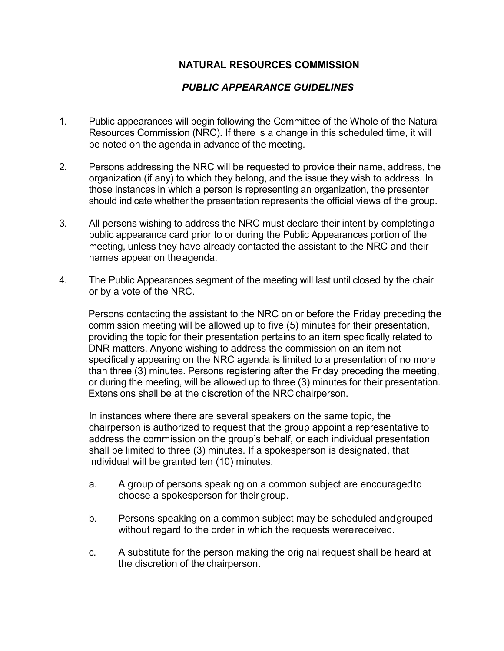## **NATURAL RESOURCES COMMISSION**

## *PUBLIC APPEARANCE GUIDELINES*

- 1. Public appearances will begin following the Committee of the Whole of the Natural Resources Commission (NRC). If there is a change in this scheduled time, it will be noted on the agenda in advance of the meeting.
- 2. Persons addressing the NRC will be requested to provide their name, address, the organization (if any) to which they belong, and the issue they wish to address. In those instances in which a person is representing an organization, the presenter should indicate whether the presentation represents the official views of the group.
- 3. All persons wishing to address the NRC must declare their intent by completinga public appearance card prior to or during the Public Appearances portion of the meeting, unless they have already contacted the assistant to the NRC and their names appear on theagenda.
- 4. The Public Appearances segment of the meeting will last until closed by the chair or by a vote of the NRC.

Persons contacting the assistant to the NRC on or before the Friday preceding the commission meeting will be allowed up to five (5) minutes for their presentation, providing the topic for their presentation pertains to an item specifically related to DNR matters. Anyone wishing to address the commission on an item not specifically appearing on the NRC agenda is limited to a presentation of no more than three (3) minutes. Persons registering after the Friday preceding the meeting, or during the meeting, will be allowed up to three (3) minutes for their presentation. Extensions shall be at the discretion of the NRCchairperson.

In instances where there are several speakers on the same topic, the chairperson is authorized to request that the group appoint a representative to address the commission on the group's behalf, or each individual presentation shall be limited to three (3) minutes. If a spokesperson is designated, that individual will be granted ten (10) minutes.

- a. A group of persons speaking on a common subject are encouragedto choose a spokesperson for their group.
- b. Persons speaking on a common subject may be scheduled andgrouped without regard to the order in which the requests werereceived.
- c. A substitute for the person making the original request shall be heard at the discretion of the chairperson.